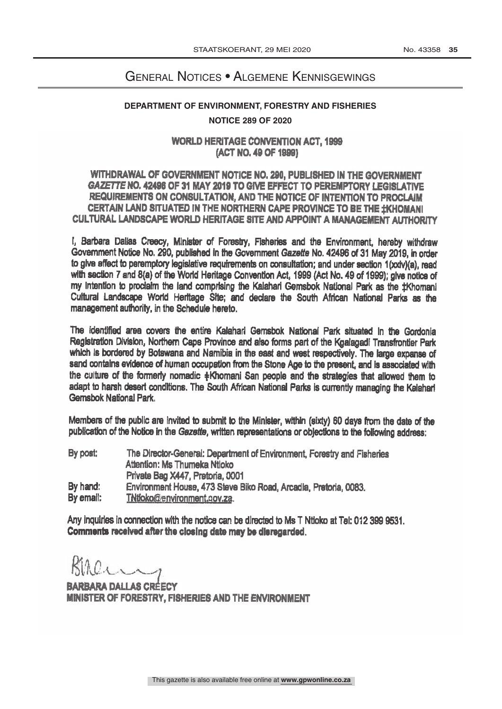## General Notices • Algemene Kennisgewings

## **DEPARTMENT OF ENVIRONMENT, FORESTRY AND FISHERIES NOTICE 289 OF 2020**

WORLD HERITAGE CONVENTION ACT, 1999 (ACT NO.49 OF 1999)

## WITHDRAWAL OF GOVERNMENT NOTICE NO. 290, PUBUSHED IN THE GOVERNMENT GAZETTE NO. 42496 OF 31 MAY 2019 TO GIVE EFFECT TO PEREMPTORY LEGISLATIVE REQUIREMENTS ON CONSULTATION, AND THE NOTICE OF INTENTION TO PROCLAIM CERTAIN LAND SITUATED IN THE NORTHERN CAPE PROVINCE TO BE THE #KHOMANI CULTURAL LANDSCAPE WORLD HERITAGE SITE AND APPOINT A MANAGEMENT AUTHORITY

I, Barbara Dallas Creecy, Minister of Forestry, Fisheries and the Environment, hereby withdraw Government Notice No. 290, published In the Government Gazette No. 42496 of 31 May 2019, in order to give effect to peremptory legislative requirements on consultation; and under section 1(xxiv)(a), read with section 7 and 8(a) of the World Heritage Convention Act, 1999 (Act No. 49 of 1999); give notice of my Intention to proclaim the land comprising the Kalahari Gemsbok National Park as the ±Khomani Cultural Landscape World Heritage Site; and declare the South African National Parks as the management authority, in the Schedule hereto.

The identified area covers the entire Kalahari Gemsbok National Park situated In the Gordonia Registration Division, Northern Cape Province and also forms part of the Kgalagadi Transfrontier Perk which is bordered by Botswana and Namibia in the east and west respectively. The large expanse of sand contains evidence of human occupation from the Stone Age to the present, and is associated with the culture of the formerly nomadic +Khomani San people and the strategies that allowed them to adapt to harsh desert conditions. The South African National Parks is currently managing the Kalahari Gemsbok National Park

Members of the public are invited to submit to the Minister, within (sixty) 60 days from the date of the publication of the Notice in the Gazette, written representations or objections to the following address:

| By post:  | The Director-General: Department of Environment, Forestry and Fisheries |
|-----------|-------------------------------------------------------------------------|
|           | Attention: Ms Thumeka Ntloko                                            |
|           | Private Bag X447, Pretoria, 0001                                        |
| By hand:  | Environment House, 473 Steve Biko Road, Arcadia, Pretoria, 0083.        |
| By email: | TNiloko@environment.gov.za.                                             |

Any inquiries in connection with the notice can be directed to Ms T Ntloko at Tel: 012 399 9531. Comments received after the closing date may be disregarded.

BARBARA DALLAS CRÉECY MINISTER OF FORESTRY, FISHERIES AND THE ENVIRONMENT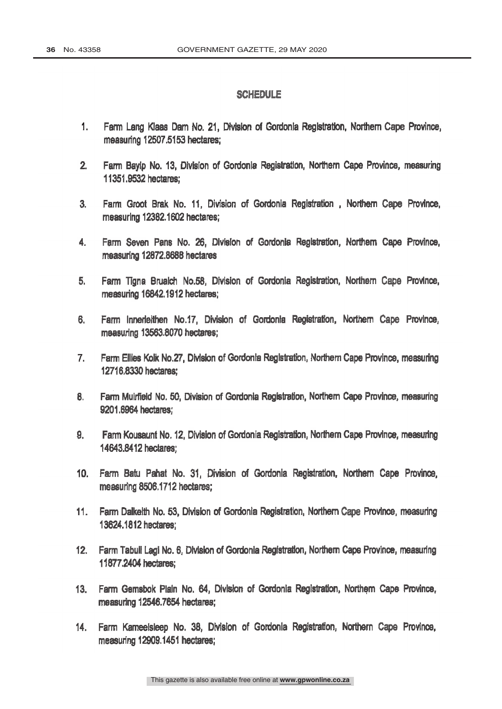## SCHEDULE

- $1.$ Farm Lang Klaas Dam No. 21, Division of Gordonia Registration, Northern Cape Province, measuring 12507.5153 hectares;
- $2<sub>1</sub>$ Farm Bayip No. 13, Division of Gordonia Registration, Northern Cape Province, measuring 11351.9532 hectares:
- Farm Groot Brak No. 11, Division of Gordonia Registration, Northern Cape Province,  $3<sub>1</sub>$ measuring 12382.1602 hectares;
- 4. Farm Seven Pans No. 26, Division of Gordonia Registration, Northern Cape Province, measuring 12872.8688 hectares
- 5. Farm Tigna Brualch No.58, Division of Gordonia Registration, Northern Cape Province, measuring 16842.1912 hectares;
- 6. Farm Innerleithen No.17, Division of Gordonia Registration, Northern Cape Province, measuring 13563.8070 hectares;
- $7<sub>1</sub>$ Farm Ellies Kolk No.27, Division of Gordonia Registration, Northern Cape Province, measuring 12716.8330 hectares;
- 8. Farm Muirfield No. 50, Division of Gordonia Registration, Northern Cape Province, measuring 9201.6964 hectares;
- 9. Farm Kousaunt No. 12, Division of Gordonia Registration, Northern Cape Province, measuring 14643.8412 hectares:
- Farm Batu Pahat No. 31, Division of Gordonia Registration, Northern Cape Province,  $10<sub>1</sub>$ measuring 8506.1712 hectares:
- $11.$ Farm Dalkelth No. 53, Division of Gordonia Registration, Northern Cape Province, measuring 13624.1812 hectares:
- 12. Farm Tabuli Lagi No. 6, Division of Gordonia Registration, Northern Cape Province, measuring 116772404 hectares;
- 13. Farm Gemsbok Plain No. 64, Division of Gordonia Registration, Northern Cape Province, measuring 12546.7654 hectares;
- $14.$ Farm Kameelsleep No. 38, Division of Gordonia Registration, Northern Cape Province, measuring 12909.1451 hectares;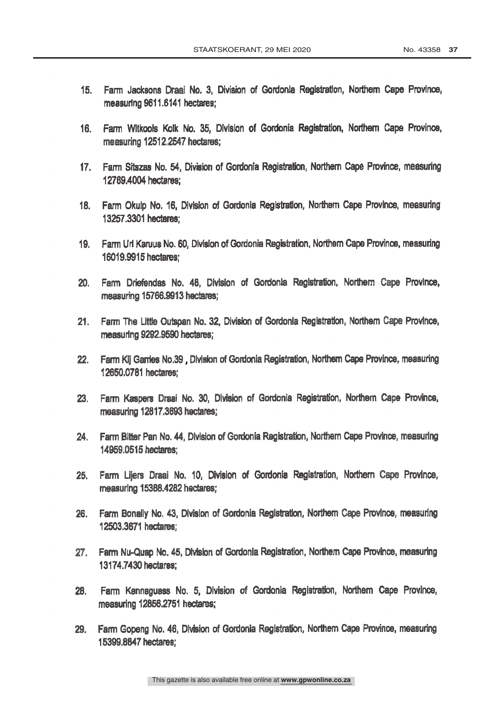- Farm Jacksons Draaj No. 3. Division of Gordonia Registration, Northern Cape Province,  $15.$ measuring 9611.6141 hectares:
- Farm Witkools Kolk No. 35, Division of Gordonia Registration, Northern Cape Province,  $16.$ measuring 12512.2547 hectares;
- Farm Sitszas No. 54, Division of Gordonia Registration, Northern Cape Province, measuring  $17.$ 12769.4004 hectares:
- 18. Farm Okulp No. 16, Division of Gordonia Registration, Northern Cape Province, measuring 13257.3301 hectares:
- 19. Farm Uri Karuus No. 60, Division of Gordonia Registration, Northern Cape Province, measuring 16019.9915 hectares;
- 20. Farm Driefendas No. 48, Division of Gordonia Registration, Northern Cape Province, measuring 15766.9913 hectares;
- 21. Farm The Little Outspan No. 32, Division of Gordonia Registration, Northern Cape Province, measuring 9292.9590 hectares;
- 22. Farm Kij Garries No.39, Division of Gordonia Registration, Northern Cape Province, measuring 12650.0781 hectares;
- 23. Farm Kaspers Draai No. 30, Division of Gordonia Registration, Northern Cape Province, measuring 12817.3693 hectares;
- Farm Bitter Pan No. 44, Division of Gordonia Registration, Northern Cape Province, measuring  $24.$ 14959.0515 hectares:
- Farm Lijers Draai No. 10, Division of Gordonia Registration, Northern Cape Province,  $25.$ measuring 15388.4282 hectares;
- 26. Farm Bonally No. 43, Division of Gordonia Registration, Northern Cape Province, measuring 12503.3671 hectares;
- Farm Nu-Quap No. 45, Division of Gordonia Registration, Northern Cape Province, measuring  $27.$ 13174.7430 hectares;
- Farm Kannaguass No. 5, Division of Gordonia Registration, Northern Cape Province, 28. measuring 12856.2751 hectares;
- Farm Gopeng No. 46, Division of Gordonia Registration, Northern Cape Province, measuring 29. 15399.8847 hectares;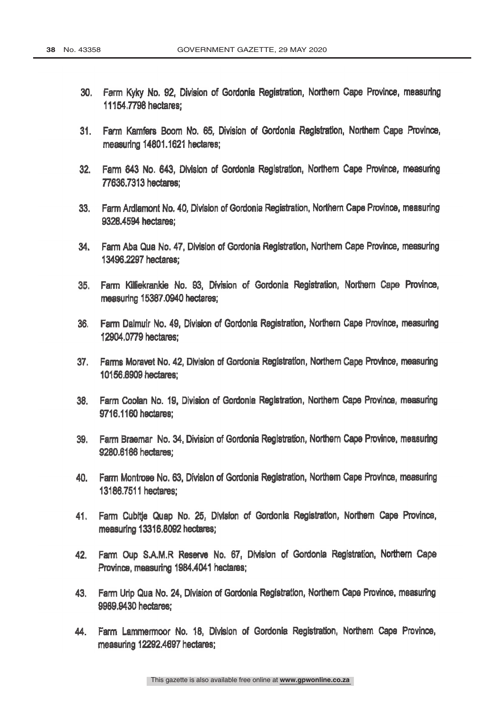- Farm Kyky No. 92, Division of Gordonia Registration, Northern Cape Province, measuring  $30.$ 11154.7798 hectares;
- $31.$ Farm Kamfers Boom No. 65, Division of Gordonia Registration, Northern Cape Province, measuring 14801.1621 hectares:
- $32.$ Farm 643 No. 643, Division of Gordonia Registration, Northern Cape Province, measuring 77636.7313 hectares:
- 33. Farm Ardlamont No. 40. Division of Gordonia Registration, Northern Cape Province, measuring 9328,4594 hectares:
- 34. Farm Aba Qua No. 47, Division of Gordonia Registration, Northern Cape Province, measuring 13496,2297 hectares;
- Farm Killiekrankie No. 93, Division of Gordonia Registration, Northern Cape Province,  $35.$ measuring 15387.0940 hectares;
- Farm Dalmuir No. 49, Division of Gordonia Registration, Northern Cape Province, measuring 36. 12904.0779 hectares:
- 37. Farms Moravet No. 42, Division of Gordonia Registration, Northern Province, measuring 10156.8909 hectares;
- 38. Farm Coolan No. 19, Division of Gordonia Registration, Northern Cape Province, measuring 9716.1160 hectares;
- Farm Braemar No. 34. Division of Gordonia Registration, Northern Cape Province, measuring 39. 9280.6166 hectares;
- Farm Montrose No. 63. Division of Gordonia Registration, Northern Cape Province, measuring 40. 13186.7511 hectares:
- 41, Farm Cubitje Quap No. 25, Division of Gordonla Registration, Northern Cape Province, measuring 13316.8092 hectares;
- 42. Fam Oup S.A.M.R Reserve No. 67, Division of Gordonia Registration, Northern Cape Province, measuring 1984.4041 hectares;
- Farm Urip Qua No. 24, Division of Gordonia Registration, Northern Cape Province, measuring 43. 9989,9430 hectares;
- Farm Lammermoor No. 18, Division of Gordonia Registration, Northern Cape Province, 44. measuring 12292.4697 hectares;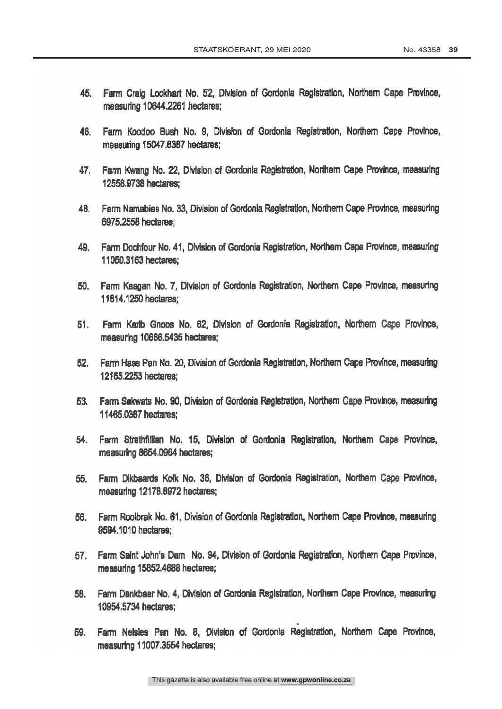- Farm Craig Lockhart No. 52, Division of Gordonia Registration, Northern Cape Province, 45. measuring 10644.2261 hectares;
- Farm Koodoo Bush No. 9, Division of Gordonia Registration, Northern Cape Province, 46. measuring 15047.6387 hectares;
- 47. Farm Kwang No. 22, Division of Gordonia Registration, Northern Cape Province, measuring 12558.9738 hectares:
- Farm Namabies No. 33, Division of Gordonia Registration, Northern Cape Province, measuring 48. 6975,2558 hectares:
- 49. Farm Dochfour No. 41, Division of Gordonia Registration, Northern Cape Province, measuring 11050.3163 hectares;
- 50. Farm Kaagan No. 7, Division of Gordonla Registration, Northern Cape Province, measuring 11814.250 hectares;
- 51. Farm Karib Gnoos No. 62, Division of Gordonia Registration, Northern Cape Province, measuring 10666.5435 hectares;
- Farm Haas Pan No. 20, Division of Gordonia Registration, Northern Cape Province, measuring 52. 12165.2253 hectares:
- Farm Sekwats No. 90. Division of Gordonia Registration, Northern Cape Province, measuring 53. 11465.0387 hectares:
- 54. Farm Strathfillian No. 15, Division of Gordonia Registration, Northern Cape Province. measuring 8654.0964 hectares;
- 55. Farm Dikbaards Kolk No, 36, Division of Gordonia Registration, Northern Cape Province, measuring 12178.8972 hectares;
- 56. Farm Roolbrak No. 61, Division of Gordonia Registration, Northern Cape Province, measuring 9594,1010 hectares:
- Farm Saint John's Dam No. 94, Division of Gordonia Registration, Northern Cape Province, 57. measuring 15852.4688 hectares;
- 58. Farm Dankbaar No. 4, Division of Gordonia Registration, Northern Cape Province, measuring 10954.5734 hectares;
- Farm Nelsles Pan No. 8, Division of Gordonia Registration, Northern Cape Province, 59. measuring 11007.3554 hectares;